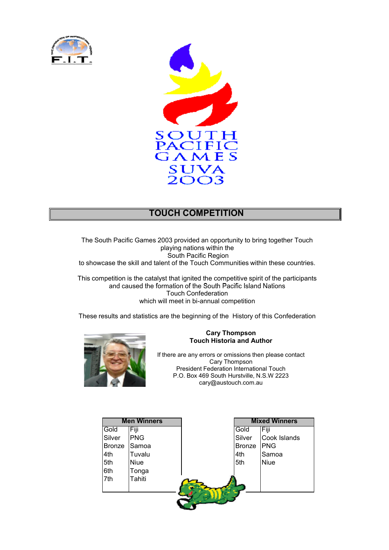



## **TOUCH COMPETITION**

The South Pacific Games 2003 provided an opportunity to bring together Touch playing nations within the South Pacific Region to showcase the skill and talent of the Touch Communities within these countries.

This competition is the catalyst that ignited the competitive spirit of the participants and caused the formation of the South Pacific Island Nations Touch Confederation which will meet in bi-annual competition

These results and statistics are the beginning of the History of this Confederation



#### **Cary Thompson Touch Historia and Author**

If there are any errors or omissions then please contact Cary Thompson President Federation International Touch P.O. Box 469 South Hurstville, N.S.W 2223 cary@austouch.com.au

|               | <b>Men Winners</b> |               | <b>Mixed Winners</b> |
|---------------|--------------------|---------------|----------------------|
| Gold          | Fiji               | Gold          | Fiji                 |
| Silver        | <b>PNG</b>         | Silver        | Cook Islands         |
| <b>Bronze</b> | Samoa              | <b>Bronze</b> | <b>PNG</b>           |
| 4th           | Tuvalu             | 4th           | Samoa                |
| 5th           | <b>Niue</b>        | 5th           | <b>Niue</b>          |
| 6th           | Tonga              |               |                      |
| 7th           | Tahiti             |               |                      |
|               |                    |               |                      |
|               |                    |               |                      |
|               |                    |               |                      |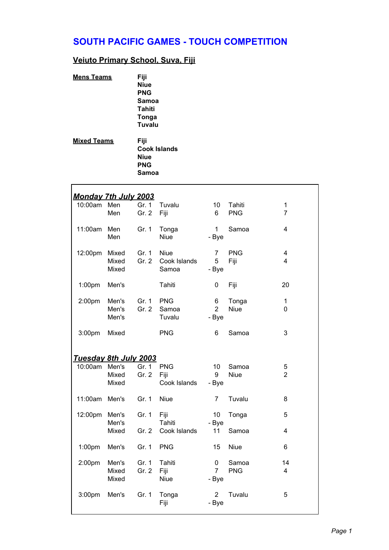# **SOUTH PACIFIC GAMES - TOUCH COMPETITION**

#### **Veiuto Primary School, Suva, Fiji**

| <b>Mens Teams</b>  | Fiji         |
|--------------------|--------------|
|                    | <b>Niue</b>  |
|                    | <b>PNG</b>   |
|                    | Samoa        |
|                    | Tahiti       |
|                    | Tonga        |
|                    | Tuvalu       |
| <b>Mixed Teams</b> | Fiji         |
|                    | Cook Islands |
|                    | Niue         |
|                    | <b>PNG</b>   |
|                    | Samoa        |

| <u>Monday 7th July 2003</u> |                         |                |                                      |                              |                      |                                           |
|-----------------------------|-------------------------|----------------|--------------------------------------|------------------------------|----------------------|-------------------------------------------|
| 10:00am Men                 | Men                     | Gr. 1<br>Gr. 2 | Tuvalu<br>Fiji                       | 10<br>6                      | Tahiti<br><b>PNG</b> | $\mathbf{1}$<br>$\overline{7}$            |
| 11:00am Men                 | Men                     | Gr. 1          | Tonga<br><b>Niue</b>                 | $\mathbf{1}$<br>- Bye        | Samoa                | 4                                         |
| 12:00pm Mixed               | Mixed<br>Mixed          | Gr. 1<br>Gr. 2 | <b>Niue</b><br>Cook Islands<br>Samoa | $\overline{7}$<br>5<br>- Bye | <b>PNG</b><br>Fiji   | $\overline{\mathbf{4}}$<br>$\overline{4}$ |
| 1:00 <sub>pm</sub>          | Men's                   |                | Tahiti                               | 0                            | Fiji                 | 20                                        |
| 2:00pm                      | Men's<br>Men's<br>Men's | Gr. 1<br>Gr. 2 | <b>PNG</b><br>Samoa<br>Tuvalu        | 6<br>$\overline{2}$<br>- Bye | Tonga<br><b>Niue</b> | $\mathbf{1}$<br>0                         |
| 3:00pm                      | Mixed                   |                | <b>PNG</b>                           | 6                            | Samoa                | 3                                         |
| Tuesday 8th July 2003       |                         |                |                                      |                              |                      |                                           |
| 10:00am Men's               | Mixed<br>Mixed          | Gr. 1<br>Gr. 2 | <b>PNG</b><br>Fiji<br>Cook Islands   | 10<br>9<br>- Bye             | Samoa<br><b>Niue</b> | 5<br>$\overline{2}$                       |
| 11:00am Men's               |                         | Gr. 1          | Niue                                 | $\overline{7}$               | Tuvalu               | 8                                         |
| 12:00pm Men's               | Men's                   | Gr. 1          | Fiji<br>Tahiti                       | 10 <sup>°</sup><br>- Bye     | Tonga                | 5                                         |
|                             | Mixed                   | Gr. $2$        | Cook Islands                         | 11                           | Samoa                | 4                                         |
| 1:00 <sub>pm</sub>          | Men's                   | Gr. 1          | <b>PNG</b>                           | 15                           | <b>Niue</b>          | 6                                         |
| 2:00pm                      | Men's<br>Mixed<br>Mixed | Gr. 1<br>Gr. 2 | Tahiti<br>Fiji<br><b>Niue</b>        | 0<br>$7^{\circ}$<br>- Bye    | Samoa<br><b>PNG</b>  | 14<br>4                                   |
| 3:00 <sub>pm</sub>          | Men's                   | Gr. 1          | Tonga<br>Fiji                        | $\overline{2}$<br>- Bye      | Tuvalu               | 5                                         |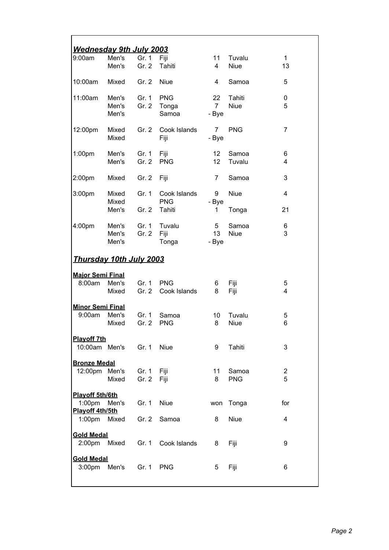| <u>Wednesdav 9th Julv 2003</u> |       |           |              |                 |             |                |
|--------------------------------|-------|-----------|--------------|-----------------|-------------|----------------|
| 9:00am                         | Men's | Gr. 1     | Fiji         | 11              | Tuvalu      | 1              |
|                                | Men's | Gr. 2     | Tahiti       | $\overline{4}$  | <b>Niue</b> | 13             |
|                                |       |           |              |                 |             |                |
| 10:00am                        | Mixed | Gr. 2     | <b>Niue</b>  | 4               | Samoa       | 5              |
|                                |       |           |              |                 |             |                |
| 11:00am                        | Men's | Gr. 1     | <b>PNG</b>   | 22              | Tahiti      | 0              |
|                                | Men's | Gr. 2     | Tonga        | $\overline{7}$  | <b>Niue</b> | 5              |
|                                | Men's |           | Samoa        | - Bye           |             |                |
|                                |       |           |              |                 |             |                |
| 12:00pm                        | Mixed | Gr. $2$   | Cook Islands | 7               | <b>PNG</b>  | 7              |
|                                | Mixed |           | Fiji         | - Bye           |             |                |
| 1:00 <sub>pm</sub>             | Men's | Gr. 1     | Fiji         | 12 <sup>°</sup> | Samoa       | 6              |
|                                | Men's | Gr. 2     | <b>PNG</b>   | 12              | Tuvalu      | 4              |
|                                |       |           |              |                 |             |                |
| 2:00pm                         | Mixed | Gr. 2     | Fiji         | 7               | Samoa       | 3              |
|                                |       |           |              |                 |             |                |
| 3:00pm                         | Mixed | Gr. 1     | Cook Islands | 9               | <b>Niue</b> | 4              |
|                                | Mixed |           | <b>PNG</b>   | - Bye           |             |                |
|                                | Men's | Gr. 2     | Tahiti       | 1               | Tonga       | 21             |
|                                |       |           |              |                 |             |                |
| 4:00pm                         | Men's |           | Gr. 1 Tuvalu | 5               | Samoa       | 6              |
|                                | Men's | Gr. 2     | Fiji         | 13              | <b>Niue</b> | 3              |
|                                | Men's |           | Tonga        | - Bye           |             |                |
|                                |       |           |              |                 |             |                |
| <u>Thursday 10th July 2003</u> |       |           |              |                 |             |                |
| <b>Major Semi Final</b>        |       |           |              |                 |             |                |
| 8:00am                         | Men's | Gr. 1 PNG |              | 6               | Fiji        | 5              |
|                                | Mixed | Gr. 2     | Cook Islands | 8               | Fiji        | 4              |
|                                |       |           |              |                 |             |                |
| <b>Minor Semi Final</b>        |       |           |              |                 |             |                |
| 9:00am                         | Men's | Gr. 1     | Samoa        | 10              | Tuvalu      | 5              |
|                                | Mixed | Gr. 2     | <b>PNG</b>   | 8               | <b>Niue</b> | 6              |
|                                |       |           |              |                 |             |                |
| <b>Plavoff 7th</b>             |       |           |              |                 |             |                |
| 10:00am Men's                  |       | Gr. 1     | <b>Niue</b>  | 9               | Tahiti      | 3              |
| <b>Bronze Medal</b>            |       |           |              |                 |             |                |
| 12:00pm                        | Men's | Gr. 1     | Fiji         | 11              | Samoa       | $\overline{2}$ |
|                                | Mixed | Gr. 2     | Fiji         | 8               | <b>PNG</b>  | 5              |
|                                |       |           |              |                 |             |                |
| Playoff 5th/6th                |       |           |              |                 |             |                |
| 1:00 <sub>pm</sub>             | Men's | Gr. 1     | <b>Niue</b>  | won             | Tonga       | for            |
| Playoff 4th/5th                |       |           |              |                 |             |                |
| 1:00 <sub>pm</sub>             | Mixed | Gr. 2     | Samoa        | 8               | <b>Niue</b> | 4              |
|                                |       |           |              |                 |             |                |
| <b>Gold Medal</b>              |       |           |              |                 |             |                |
| 2:00 <sub>pm</sub>             | Mixed | Gr. 1     | Cook Islands | 8               | Fiji        | 9              |
|                                |       |           |              |                 |             |                |
| <b>Gold Medal</b><br>3:00pm    | Men's | Gr. 1     | <b>PNG</b>   | 5               | Fiji        | 6              |
|                                |       |           |              |                 |             |                |
|                                |       |           |              |                 |             |                |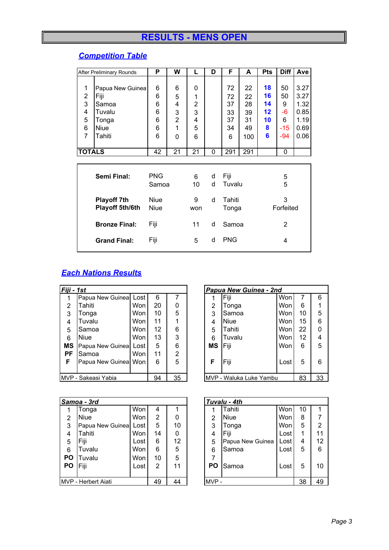# **RESULTS - MENS OPEN**

## *Competition Table*

|                                 | <b>After Preliminary Rounds</b>                                               |                                 | W                                            | L                                            | D        | F                                     | A                                       | <b>Pts</b>                           | <b>Diff</b>                                | Ave                                                  |
|---------------------------------|-------------------------------------------------------------------------------|---------------------------------|----------------------------------------------|----------------------------------------------|----------|---------------------------------------|-----------------------------------------|--------------------------------------|--------------------------------------------|------------------------------------------------------|
| 1<br>2<br>3<br>4<br>5<br>6<br>7 | Papua New Guinea<br>Fiji<br>Samoa<br>Tuvalu<br>Tonga<br><b>Niue</b><br>Tahiti | 6<br>6<br>6<br>6<br>6<br>6<br>6 | 6<br>5<br>4<br>3<br>$\overline{c}$<br>1<br>0 | 0<br>1<br>$\overline{2}$<br>3<br>4<br>5<br>6 |          | 72<br>72<br>37<br>33<br>37<br>34<br>6 | 22<br>22<br>28<br>39<br>31<br>49<br>100 | 18<br>16<br>14<br>12<br>10<br>8<br>6 | 50<br>50<br>9<br>-6<br>6<br>$-15$<br>$-94$ | 3.27<br>3.27<br>1.32<br>0.85<br>1.19<br>0.69<br>0.06 |
| <b>TOTALS</b>                   |                                                                               | 42                              | 21                                           | 21                                           | $\Omega$ | 291                                   | 291                                     |                                      | 0                                          |                                                      |
|                                 |                                                                               |                                 |                                              |                                              |          |                                       |                                         |                                      |                                            |                                                      |
|                                 | <b>PNG</b><br>Semi Final:<br>Samoa                                            |                                 |                                              | 6<br>10                                      | d<br>d   | Fiji<br>Tuvalu                        |                                         | 5<br>5                               |                                            |                                                      |
|                                 | <b>Playoff 7th</b><br>Playoff 5th/6th                                         | <b>Niue</b><br><b>Niue</b>      |                                              | 9<br>won                                     | d        | Tahiti<br>Tonga                       |                                         | 3<br>Forfeited                       |                                            |                                                      |
|                                 | <b>Bronze Final:</b>                                                          | Fiji                            |                                              | 11                                           | d        | Samoa                                 |                                         |                                      | 2                                          |                                                      |
|                                 | <b>Grand Final:</b>                                                           | Fiji                            |                                              | 5                                            | d        | <b>PNG</b>                            |                                         |                                      | 4                                          |                                                      |

### *Each Nations Results*

|                                 | Fiji - 1st            |      |    |   |  | Papua New Guinea - 2nd   |             |      |        |   |
|---------------------------------|-----------------------|------|----|---|--|--------------------------|-------------|------|--------|---|
| 1                               | Papua New Guinea      | Lost | 6  |   |  |                          | Fiji        | Won  |        | 6 |
| 2                               | Tahiti                | Won  | 20 | 0 |  | 2                        | Tonga       | Won  | 6      |   |
| 3                               | Tonga                 | Won  | 10 | 5 |  | 3                        | Samoa       | Won  | 10     | 5 |
| 4                               | Tuvalu                | Won  | 11 |   |  | 4                        | <b>Niue</b> | Won  | $15\,$ | 6 |
| 5                               | Samoa                 | Won  | 12 | 6 |  | 5                        | Tahiti      | Won  | 22     | 0 |
| 6                               | <b>Niue</b>           | Won  | 13 | 3 |  | 6                        | Tuvalu      | Won  | 12     | 4 |
| MS                              | Papua New Guinea      | Lost | 5  | 6 |  | MS                       | Fiji        | Won  | 6      | 5 |
| PF                              | Samoa                 | Won  | 11 | 2 |  |                          |             |      |        |   |
| F                               | Papua New Guineal Won |      | 6  | 5 |  | F                        | Fiji        | Lost | 5      | 6 |
|                                 |                       |      |    |   |  |                          |             |      |        |   |
| 35<br>94<br>MVP - Sakeasi Yabia |                       |      |    |   |  | IMVP - Waluka Luke Yambu |             | 83   | 33     |   |

|                           | Samoa - 3rd      |      |      |    |           | Tuvalu - 4th     |      |    |                |
|---------------------------|------------------|------|------|----|-----------|------------------|------|----|----------------|
|                           | Tonga            | Won  | 4    |    |           | Tahiti           | Won  | 10 |                |
| 2                         | <b>Niue</b>      | Won  | 2    | 0  | 2         | <b>Niue</b>      | Won  | 8  | 7              |
| 3                         | Papua New Guinea | Lost | 5    | 10 | 3         | Tonga            | Won  | 5  | $\overline{2}$ |
| 4                         | Tahiti           | Wonl | 14   | 0  | 4         | <b>Fiji</b>      | Lost |    | 11             |
| 5                         | Fiji             | Lost | 6    | 12 | 5         | Papua New Guinea | Lost | 4  | 12             |
| 6                         | Tuvalu           | Won  | 6    | 5  | 6         | Samoa            | Lost | 5  | 6              |
| <b>PO</b>                 | Tuvalu           | Won  | 10   | 5  |           |                  |      |    |                |
| <b>PO</b>                 | Fiji             | Lost | 2    | 11 | <b>PO</b> | Samoa            | Lost | 5  | 10             |
|                           |                  |      |      |    |           |                  |      |    |                |
| 49<br>MVP - Herbert Aiati |                  | 44   | MVP- |    |           | 38               | 49   |    |                |

|                | Papua New Guinea - 2nd  |      |    |    |  |  |  |  |  |
|----------------|-------------------------|------|----|----|--|--|--|--|--|
|                | Fiji                    | Won  | 7  | 6  |  |  |  |  |  |
| $\overline{2}$ | Tonga                   | Won  | 6  |    |  |  |  |  |  |
| 3              | Samoa                   | Won  | 10 | 5  |  |  |  |  |  |
| 4              | Niue                    | Won  | 15 | 6  |  |  |  |  |  |
| 5              | Tahiti                  | Won  | 22 | 0  |  |  |  |  |  |
| 6              | Tuvalu                  | Won  | 12 | 4  |  |  |  |  |  |
| ΜS             | Fiji                    | Won  | 6  | 5  |  |  |  |  |  |
| F              | Fiji                    | Lost | 5  | 6  |  |  |  |  |  |
|                | MVP - Waluka Luke Yambu |      | 83 | 33 |  |  |  |  |  |

|                | Tuvalu - 4th     |      |    |                |  |  |  |  |  |
|----------------|------------------|------|----|----------------|--|--|--|--|--|
|                | Tahiti           | Won  | 10 |                |  |  |  |  |  |
| $\overline{2}$ | <b>Niue</b>      | Won  | 8  | $\overline{7}$ |  |  |  |  |  |
| 3              | Tonga            | Won  | 5  | $\overline{2}$ |  |  |  |  |  |
| 4              | Fiji             | Lost |    | 11             |  |  |  |  |  |
| 5              | Papua New Guinea | Lost | 4  | 12             |  |  |  |  |  |
| 6              | Samoa            | Lost | 5  | 6              |  |  |  |  |  |
| 7              |                  |      |    |                |  |  |  |  |  |
| PO             | Samoa            | Lost | 5  | 10             |  |  |  |  |  |
|                |                  |      |    |                |  |  |  |  |  |
|                |                  |      | 38 | 49             |  |  |  |  |  |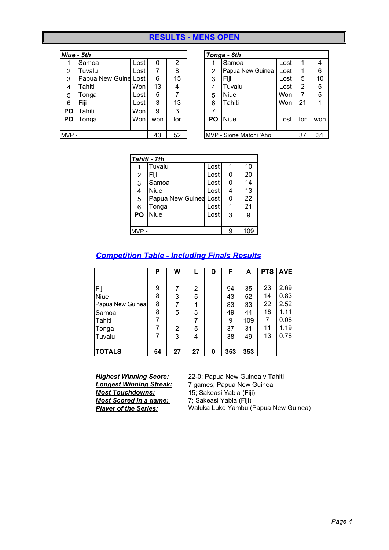#### **RESULTS - MENS OPEN**

|           | Niue - 5th           |      |     |     |                | Tonga - 6th             |      |     |     |
|-----------|----------------------|------|-----|-----|----------------|-------------------------|------|-----|-----|
|           | Samoa                | Lost | 0   | 2   |                | Samoa                   | Lost |     | 4   |
| 2         | Tuvalu               | Lost | 7   | 8   | $\overline{2}$ | Papua New Guinea        | Lost |     | 6   |
| 3         | Papua New Guine Lost |      | 6   | 15  | 3              | Fiii                    | Lost | 5   | 10  |
| 4         | Tahiti               | Won  | 13  | 4   | 4              | Tuvalu                  | Lost | 2   | 5   |
| 5         | Tonga                | Lost | 5   |     | 5              | <b>Niue</b>             | Won  | 7   | 5   |
| 6         | Fiji                 | Lost | 3   | 13  | 6              | Tahiti                  | Won  | 21  |     |
| <b>PO</b> | Tahiti               | Won  | 9   | 3   | 7              |                         |      |     |     |
| <b>PO</b> | Tonga                | Won  | won | for | PO             | <b>Niue</b>             | Lost | for | won |
|           |                      |      |     |     |                |                         |      |     |     |
| MVP-      |                      |      | 43  | 52  |                | MVP - Sione Matoni 'Aho |      | 37  | 31  |

|                | Tonga - 6th             |      |                |     |  |  |  |  |  |
|----------------|-------------------------|------|----------------|-----|--|--|--|--|--|
|                | Samoa                   | Lost | 1              | 4   |  |  |  |  |  |
| $\overline{c}$ | Papua New Guinea        | Lost |                | 6   |  |  |  |  |  |
| 3              | Fiji                    | Lost | 5              | 10  |  |  |  |  |  |
| 4              | Tuvalu                  | Lost | $\overline{2}$ | 5   |  |  |  |  |  |
| 5              | <b>Niue</b>             | Won  | $\overline{7}$ | 5   |  |  |  |  |  |
| 6              | Tahiti                  | Won  | 21             |     |  |  |  |  |  |
| 7              |                         |      |                |     |  |  |  |  |  |
| PO             | <b>Niue</b>             | Lost | for            | won |  |  |  |  |  |
|                |                         |      |                |     |  |  |  |  |  |
|                | MVP - Sione Matoni 'Aho | 37   | 31             |     |  |  |  |  |  |

|                | Tahiti - 7th          |      |     |    |  |  |  |  |  |  |
|----------------|-----------------------|------|-----|----|--|--|--|--|--|--|
|                | Tuvalu                | Lost |     | 10 |  |  |  |  |  |  |
| $\overline{2}$ | Fiji                  | Lost | 0   | 20 |  |  |  |  |  |  |
| $\overline{3}$ | Samoa                 | Lost | 0   | 14 |  |  |  |  |  |  |
| 4              | <b>Niue</b>           | Lost | 4   | 13 |  |  |  |  |  |  |
| 5              | Papua New Guinea Lost |      | 0   | 22 |  |  |  |  |  |  |
| 6              | Tonga                 | Lost |     | 21 |  |  |  |  |  |  |
| <b>PO</b>      | <b>Niue</b>           | Lost | 3   | 9  |  |  |  |  |  |  |
|                |                       |      |     |    |  |  |  |  |  |  |
| MVP.           |                       | a    | 109 |    |  |  |  |  |  |  |

#### *Competition Table - Including Finals Results*

|                  | Р  | W  |    | D | F   | A   | <b>PTS</b>     | <b>AVE</b> |
|------------------|----|----|----|---|-----|-----|----------------|------------|
|                  |    |    |    |   |     |     |                |            |
| Fiji             | 9  |    | 2  |   | 94  | 35  | 23             | 2.69       |
| <b>Niue</b>      | 8  | 3  | 5  |   | 43  | 52  | 14             | 0.83       |
| Papua New Guinea | 8  | 7  |    |   | 83  | 33  | 22             | 2.52       |
| Samoa            | 8  | 5  | 3  |   | 49  | 44  | 18             | 1.11       |
| Tahiti           | 7  |    | 7  |   | 9   | 109 | $\overline{7}$ | 0.08       |
| Tonga            |    | 2  | 5  |   | 37  | 31  | 11             | 1.19       |
| Tuvalu           |    | 3  | 4  |   | 38  | 49  | 13             | 0.78       |
|                  |    |    |    |   |     |     |                |            |
| <b>TOTALS</b>    | 54 | 27 | 27 | 0 | 353 | 353 |                |            |

*Most Scored in a game:* 7; Sakeasi Yabia (Fiji)<br> *Player of the Series:* Waluka Luke Yambu (I

*Highest Winning Score:* 22-0; Papua New Guinea v Tahiti<br> **Longest Winning Streak:** 7 games; Papua New Guinea *Longest Winning Streak:* 7 games; Papua New Guinea *Most Touchdowns:* 15; Sakeasi Yabia (Fiji) *Player of the Series:* Waluka Luke Yambu (Papua New Guinea)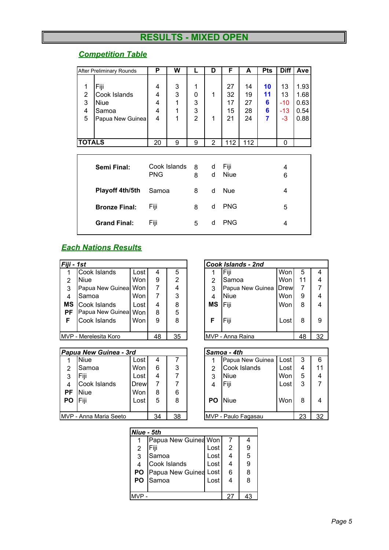# **RESULTS - MIXED OPEN**

### *Competition Table*

|                                    | After Preliminary Rounds                                         | P                     | W                     |                                    | D              | F                          | A                          | <b>Pts</b>              | Diff                               | Ave                                  |
|------------------------------------|------------------------------------------------------------------|-----------------------|-----------------------|------------------------------------|----------------|----------------------------|----------------------------|-------------------------|------------------------------------|--------------------------------------|
| 1<br>$\overline{2}$<br>3<br>4<br>5 | Fiji<br>Cook Islands<br><b>Niue</b><br>Samoa<br>Papua New Guinea | 4<br>4<br>4<br>4<br>4 | 3<br>3<br>1<br>1<br>1 | 1<br>0<br>3<br>3<br>$\overline{2}$ | 1<br>1         | 27<br>32<br>17<br>15<br>21 | 14<br>19<br>27<br>28<br>24 | 10<br>11<br>6<br>6<br>7 | 13<br>13<br>$-10$<br>$-13$<br>$-3$ | 1.93<br>1.68<br>0.63<br>0.54<br>0.88 |
| <b>TOTALS</b>                      |                                                                  | 20                    | 9                     | 9                                  | $\overline{2}$ | 112                        | 112                        |                         | 0                                  |                                      |
|                                    |                                                                  |                       |                       |                                    |                |                            |                            |                         |                                    |                                      |
|                                    | Semi Final:                                                      | <b>PNG</b>            | Cook Islands          | 8<br>8                             | d<br>d         | Fiji<br>Niue               |                            |                         | 4<br>6                             |                                      |
|                                    | Playoff 4th/5th                                                  | Samoa                 |                       | 8                                  | d              | <b>Nue</b>                 |                            |                         | 4                                  |                                      |
|                                    | <b>Bronze Final:</b>                                             | Fiji                  |                       | 8                                  | d              | <b>PNG</b>                 |                            |                         | 5                                  |                                      |
|                                    | <b>Grand Final:</b>                                              | Fiji                  |                       | 5                                  | d              | <b>PNG</b>                 |                            |                         | 4                                  |                                      |

#### *Each Nations Results*

| Fiji - 1st |                       |            |    |    |    | Cook Islands - 2nd |             |    |    |
|------------|-----------------------|------------|----|----|----|--------------------|-------------|----|----|
|            | Cook Islands          | Lost       | 4  | 5  |    | Fiji               | Won         | 5  | 4  |
| 2          | <b>Niue</b>           | <b>Won</b> | 9  | 2  | 2  | Samoa              | Won         | 11 | 4  |
| 3          | Papua New Guinea      | <b>Won</b> |    | 4  | 3  | Papua New Guinea   | <b>Drew</b> |    | 7  |
| 4          | Samoa                 | <b>Won</b> |    | 3  | 4  | <b>Niue</b>        | Won         | 9  | 4  |
| MS         | Cook Islands          | Lost       | 4  | 8  | ΜS | Fiji               | Won         | 8  | 4  |
| <b>PF</b>  | Papua New Guinea      | Won        | 8  | 5  |    |                    |             |    |    |
| F          | Cook Islands          | Won        | 9  | 8  | F  | Fiji               | Lost        | 8  | 9  |
|            |                       |            |    |    |    |                    |             |    |    |
|            | MVP - Merelesita Koro |            | 48 | 35 |    | MVP - Anna Raina   |             | 48 | 32 |

|                | Papua New Guinea - 3rd  |             |    |    |      | Samoa - 4th         |      |    |    |
|----------------|-------------------------|-------------|----|----|------|---------------------|------|----|----|
|                | <b>Niue</b>             | Lost        | 4  |    |      | Papua New Guinea    | Lost | 3  | 6  |
| 2              | Samoa                   | Won         | 6  | 3  | 2    | Cook Islands        | Lost | 4  | 11 |
| 3              | Fiji                    | Lost        | 4  |    | 3    | Niue                | Won  | 5  | 4  |
| $\overline{4}$ | Cook Islands            | <b>Drew</b> |    |    | 4    | Fiji                | Lost | 3  |    |
| <b>PF</b>      | <b>Niue</b>             | Won         | 8  | 6  |      |                     |      |    |    |
| <b>PO</b>      | Fiji                    | Lost        | 5  | 8  | PO I | <b>Niue</b>         | Won  | 8  | 4  |
|                |                         |             |    |    |      |                     |      |    |    |
|                | IMVP - Anna Maria Seeto |             | 34 | 38 |      | MVP - Paulo Fagasau |      | 23 | 32 |

|                | Cook Islands - 2nd      |      |    |                          |
|----------------|-------------------------|------|----|--------------------------|
|                | Fiji                    | Won  | 5  | 4                        |
| 2              | Samoa                   | Won  | 11 | $\overline{\mathcal{L}}$ |
| 3              | Papua New Guinea   Drew |      | 7  | 7                        |
| $\overline{4}$ | <b>Niue</b>             | Won  | 9  | $\overline{4}$           |
| <b>MS</b>      | <b>IFiji</b>            | Won  | 8  | $\overline{4}$           |
| F              | Fiji                    | Lost | 8  | 9                        |
|                | MVP - Anna Raina        |      | 48 | 32                       |

|                | <b>ISamoa - 4th</b> |      |    |    |
|----------------|---------------------|------|----|----|
|                | Papua New Guinea    | Lost | 3  | 6  |
| 2              | Cook Islands        | Lost |    | 11 |
| 3              | <b>Niue</b>         | Won  | 5  | 4  |
| $\overline{4}$ | Fiji                | Lost | 3  |    |
| PO             | Niue                | Won  | 8  |    |
|                | MVP - Paulo Fagasau |      | 23 | 32 |

| Niue - 5th |                            |        |    |   |
|------------|----------------------------|--------|----|---|
|            | Papua New Guinea Won       |        |    |   |
| 2          | Fiji                       | Lost   | 2  | 9 |
| 3          | Samoa                      | Lost I |    | 5 |
| 4          | Cook Islands               | Lost   |    | 9 |
|            | PO   Papua New Guinea Lost |        | 6  | 8 |
|            | PO Samoa                   | Lost   |    | 8 |
|            |                            |        |    |   |
|            |                            |        | 27 |   |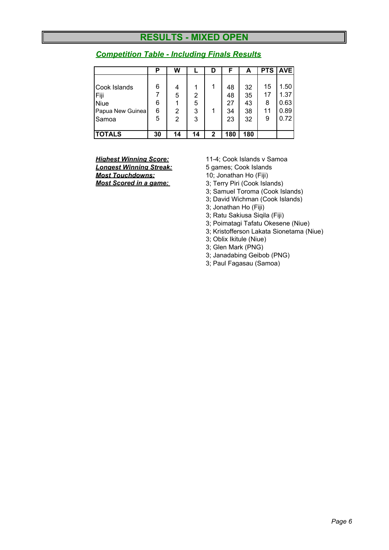### **RESULTS - MIXED OPEN**

|                  | Р  | W  |    | D            | F   | А   | <b>PTS</b> | <b>AVE</b> |
|------------------|----|----|----|--------------|-----|-----|------------|------------|
|                  |    |    |    |              |     |     |            |            |
| Cook Islands     | 6  | 4  |    |              | 48  | 32  | 15         | 1.50       |
| Fiji             |    | 5  | 2  |              | 48  | 35  | 17         | 1.37       |
| <b>Niue</b>      | 6  |    | 5  |              | 27  | 43  | 8          | 0.63       |
| Papua New Guinea | 6  | 2  | 3  |              | 34  | 38  | 11         | 0.89       |
| Samoa            | 5  | 2  | 3  |              | 23  | 32  | 9          | 0.72       |
| <b>TOTALS</b>    | 30 | 14 | 14 | $\mathbf{2}$ | 180 | 180 |            |            |

#### *Competition Table - Including Finals Results*

*Longest Winning Streak:* 5 games; Cook Islands **Most Touchdowns:** 10; Jonathan Ho (Fiji)<br> **Most Scored in a game:** 3: Terry Piri (Cook Isla

*Highest Winning Score:* 11-4; Cook Islands v Samoa

- *Most Scored in a game:* 3; Terry Piri (Cook Islands)
- 3; Samuel Toroma (Cook Islands)
- 3; David Wichman (Cook Islands)
- 3; Jonathan Ho (Fiji)
- 3; Ratu Sakiusa Siqila (Fiji)
- 3; Poimatagi Tafatu Okesene (Niue)
- 3; Kristofferson Lakata Sionetama (Niue)
- 3; Oblix Ikitule (Niue)
- 3; Glen Mark (PNG)
- 3; Janadabing Geibob (PNG)
- 3; Paul Fagasau (Samoa)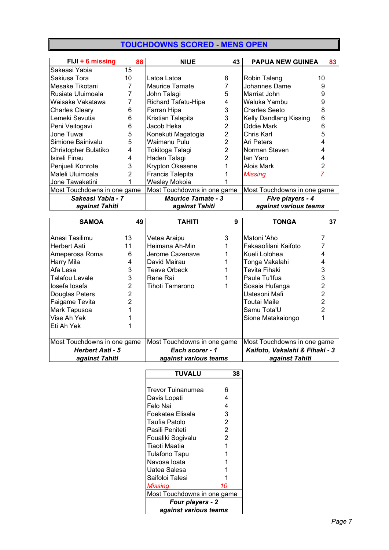### **TOUCHDOWNS SCORED - MENS OPEN**

| $FJJ + 6$ missing           | 88            | <b>NIUE</b>                 | 43             | <b>PAPUA NEW GUINEA</b>     |    | 83 |
|-----------------------------|---------------|-----------------------------|----------------|-----------------------------|----|----|
| Sakeasi Yabia               | 15            |                             |                |                             |    |    |
| Sakiusa Tora                | 10            | Latoa Latoa                 | 8              | Robin Taleng                | 10 |    |
| Mesake Tikotani             | 7             | <b>Maurice Tamate</b>       |                | Johannes Dame               | 9  |    |
| Rusiate Uluimoala           | 7             | John Talagi                 | 5              | Marriat John                | 9  |    |
| Waisake Vakatawa            | 7             | Richard Tafatu-Hipa         | 4              | Waluka Yambu                | 9  |    |
| <b>Charles Cleary</b>       | 6             | Farran Hipa                 | 3              | Charles Seeto               | 8  |    |
| Lemeki Sevutia              | 6             | Kristian Talepita           | 3              | Kelly Dandlang Kissing      | 6  |    |
| Peni Veitogavi              | 6             | Jacob Heka                  | 2              | Oddie Mark                  | 6  |    |
| Jone Tuwai                  | 5             | Konekuti Magatogia          | 2              | Chris Karl                  | 5  |    |
| Simione Bainivalu           | 5             | Waimanu Pulu                | $\overline{2}$ | Ari Peters                  |    |    |
| Christopher Bulatiko        | 4             | Tokitoga Talagi             | $\overline{2}$ | Norman Steven               |    |    |
| Isireli Finau               | 4             | Haden Talagi                | 2              | lan Yaro                    |    |    |
| Penjueli Konrote            | 3             | <b>Krypton Okesene</b>      |                | Alois Mark                  |    |    |
| Maleli Uluimoala            | $\mathcal{P}$ | <b>Francis Talepita</b>     |                | Missing                     |    |    |
| Jone Tawaketini             |               | Wesley Mokoia               |                |                             |    |    |
| Most Touchdowns in one game |               | Most Touchdowns in one game |                | Most Touchdowns in one game |    |    |
| Sakeasi Yabia - 7           |               | <b>Maurice Tamate - 3</b>   |                | Five players - 4            |    |    |
| against Tahiti              |               | against Tahiti              |                | against various teams       |    |    |

| <b>SAMOA</b>                | 49 | TAHITI                      | 9 | TONGA                          | 37 |
|-----------------------------|----|-----------------------------|---|--------------------------------|----|
|                             |    |                             |   |                                |    |
| Anesi Tasilimu              | 13 | Vetea Araipu                | 3 | Matoni 'Aho                    |    |
| <b>Herbert Aati</b>         | 11 | Heimana Ah-Min              |   | Fakaaofilani Kaifoto           |    |
| Ameperosa Roma              | 6  | Jerome Cazenave             |   | Kueli Lolohea                  |    |
| Harry Mila                  | 4  | David Mairau                |   | Tonga Vakalahi                 |    |
| Afa Lesa                    | 3  | Teave Orbeck                |   | Tevita Fihaki                  | 3  |
| Talafou Levale              | 3  | Rene Rai                    |   | Paula Tu'lfua                  | 3  |
| losefa losefa               | 2  | Tihoti Tamarono             |   | Sosaia Hufanga                 | 2  |
| Douglas Peters              | 2  |                             |   | Uatesoni Mafi                  | 2  |
| Faigame Tevita              | 2  |                             |   | Toutai Maile                   | 2  |
| Mark Tapusoa                |    |                             |   | Samu Tota'U                    | 2  |
| Vise Ah Yek                 |    |                             |   | Sione Matakaiongo              |    |
| Eti Ah Yek                  |    |                             |   |                                |    |
|                             |    |                             |   |                                |    |
| Most Touchdowns in one game |    | Most Touchdowns in one game |   | Most Touchdowns in one game    |    |
| <b>Herbert Aati - 5</b>     |    | Each scorer - 1             |   | Kaifoto, Vakalahi & Fihaki - 3 |    |
| against Tahiti              |    | against various teams       |   | against Tahiti                 |    |

| <b>TUVALU</b>               | 38             |
|-----------------------------|----------------|
|                             |                |
| <b>Trevor Tuinanumea</b>    | 6              |
| Davis Lopati                | 4              |
| Felo Nai                    | 4              |
| Foekatea Elisala            | 3              |
| Taufia Patolo               | 2              |
| Pasili Peniteti             | $\overline{2}$ |
| Foualiki Sogivalu           | 2              |
| Tiaoti Maatia               | 1              |
| Tulafono Tapu               |                |
| Navosa Ioata                |                |
| Uatea Salesa                |                |
| Saifoloi Talesi             |                |
| <b>Missing</b>              | 10             |
| Most Touchdowns in one game |                |
| Four players - 2            |                |
| against various teams       |                |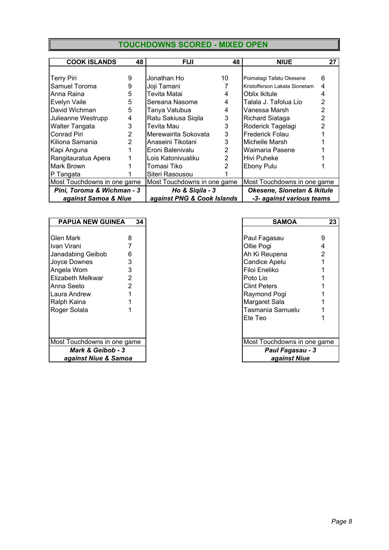|--|

| <b>COOK ISLANDS</b>         | 48 | <b>FIJI</b>                 | 48            | <b>NIUE</b>                   | 27 |  |
|-----------------------------|----|-----------------------------|---------------|-------------------------------|----|--|
|                             |    |                             |               |                               |    |  |
| <b>Terry Piri</b>           | 9  | Jonathan Ho                 | 10            | Poimatagi Tafatu Okesene      | 6  |  |
| Samuel Toroma               | 9  | Joji Tamani                 |               | Kristofferson Lakata Sionetam | 4  |  |
| Anna Raina                  | 5  | Tevita Matai                | 4             | Oblix Ikitule                 |    |  |
| Evelyn Vaile                | 5  | Sereana Nasome              | 4             | Talala J. Tafolua Lio         | 2  |  |
| David Wichman               | 5  | Tanya Vatubua               | 4             | Vanessa Marsh                 | 2  |  |
| Julieanne Westrupp          | 4  | Ratu Sakiusa Siqila         | 3             | Richard Siataga               | 2  |  |
| <b>Walter Tangata</b>       | 3  | Tevita Mau                  | 3             | Roderick Tagelagi             |    |  |
| Conrad Piri                 | 2  | Merewairita Sokovata        | 3             | Frederick Folau               |    |  |
| Kiliona Samania             | 2  | Anaseini Tikotani           | 3             | Michelle Marsh                |    |  |
| Kapi Anguna                 |    | Eroni Balenivalu            | 2             | Waimaria Pasene               |    |  |
| Rangitauratua Apera         |    | Lois Katonivualiku          | $\mathcal{P}$ | Hivi Puheke                   |    |  |
| Mark Brown                  |    | Tomasi Tiko                 |               | Ebony Pulu                    |    |  |
| P Tangata                   |    | Siteri Rasousou             |               |                               |    |  |
| Most Touchdowns in one game |    | Most Touchdowns in one game |               | Most Touchdowns in one game   |    |  |
| Pini, Toroma & Wichman - 3  |    | Ho & Sigila - 3             |               | Okesene, Sionetan & Ikitule   |    |  |
| against Samoa & Niue        |    | against PNG & Cook Islands  |               | -3- against various teams     |    |  |

| <b>PAPUA NEW GUINEA</b>      | 34 | <b>SAMOA</b>                | $\mathbf{2}$ |
|------------------------------|----|-----------------------------|--------------|
|                              |    |                             |              |
| Glen Mark                    | 8  | Paul Fagasau                | 9            |
| Ivan Virani                  |    | Ollie Pogi                  | 4            |
| Janadabing Geibob            | 6  | Ah Ki Reupena               | 2            |
| Joyce Downes                 |    | Candice Apelu               |              |
| Angela Wom                   | 3  | Filoi Eneliko               |              |
| Elizabeth Melkwar            |    | Poto Lio                    |              |
| Anna Seeto                   |    | <b>Clint Peters</b>         |              |
| Laura Andrew                 |    | Raymond Pogi                |              |
| Ralph Kaina                  |    | Margaret Sala               |              |
| Roger Solala                 |    | Tasmania Samuelu            |              |
|                              |    | Ete Teo                     |              |
|                              |    |                             |              |
| Most Touchdowns in one game  |    | Most Touchdowns in one game |              |
| <b>Mark &amp; Geibob - 3</b> |    | Paul Fagasau - 3            |              |
| against Niue & Samoa         |    | against Niue                |              |

| 34                        | <b>SAMOA</b>        | 23                                                                          |
|---------------------------|---------------------|-----------------------------------------------------------------------------|
|                           |                     |                                                                             |
| 8                         | Paul Fagasau        |                                                                             |
|                           | Ollie Pogi          |                                                                             |
| 6                         | Ah Ki Reupena       |                                                                             |
| 3                         | Candice Apelu       |                                                                             |
| 3                         | Filoi Eneliko       |                                                                             |
| $\overline{2}$            | Poto Lio            |                                                                             |
| $\overline{2}$            | <b>Clint Peters</b> |                                                                             |
|                           |                     |                                                                             |
|                           |                     |                                                                             |
|                           | Tasmania Samuelu    |                                                                             |
|                           | Ete Teo             |                                                                             |
|                           |                     |                                                                             |
| st Touchdowns in one game |                     |                                                                             |
|                           | Paul Fagasau - 3    |                                                                             |
| against Niue & Samoa      | against Niue        |                                                                             |
|                           |                     | 9<br>4<br>2<br>Raymond Pogi<br>Margaret Sala<br>Most Touchdowns in one game |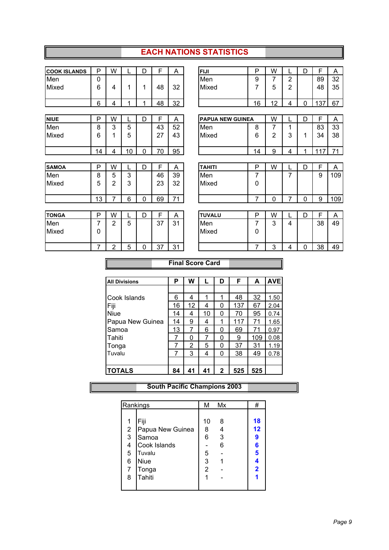#### **EACH NATIONS STATISTICS**

| <b>COOK ISLANDS</b> | P            | W              |    | D           | F  | Α  | <b>FIJI</b>             | P              | W              |                | D           | F   | A   |
|---------------------|--------------|----------------|----|-------------|----|----|-------------------------|----------------|----------------|----------------|-------------|-----|-----|
| Men                 | $\mathbf{0}$ |                |    |             |    |    | Men                     | 9              | 7              | $\overline{2}$ |             | 89  | 32  |
| Mixed               | 6            | 4              | 1  | 1           | 48 | 32 | Mixed                   | 7              | 5              | $\overline{2}$ |             | 48  | 35  |
|                     | 6            | 4              | 1  |             | 48 | 32 |                         | 16             | 12             | 4              | 0           | 137 | 67  |
|                     |              |                |    |             |    |    |                         |                |                |                |             |     |     |
| <b>NIUE</b>         | P            | W              |    | D           | F  | Α  | <b>PAPUA NEW GUINEA</b> |                | W              |                | D           | F   | A   |
| Men                 | 8            | 3              | 5  |             | 43 | 52 | Men                     | 8              | 7              | 1              |             | 83  | 33  |
| Mixed               | 6            | 1              | 5  |             | 27 | 43 | Mixed                   | 6              | $\overline{2}$ | 3              | 1           | 34  | 38  |
|                     | 14           | 4              | 10 | $\mathbf 0$ | 70 | 95 |                         | 14             | 9              | 4              | 1           | 117 | 71  |
|                     |              |                |    |             |    |    |                         |                |                |                |             |     |     |
| <b>SAMOA</b>        | P            | W              |    | D           | F  | A  | <b>TAHITI</b>           | P              | W              |                | D           | F   | A   |
| Men                 | 8            | 5              | 3  |             | 46 | 39 | Men                     | 7              |                | 7              |             | 9   | 109 |
| Mixed               | 5            | 2              | 3  |             | 23 | 32 | Mixed                   | 0              |                |                |             |     |     |
|                     | 13           | 7              | 6  | 0           | 69 | 71 |                         | $\overline{7}$ | 0              | 7              | $\mathbf 0$ | 9   | 109 |
|                     |              |                |    |             |    |    |                         |                |                |                |             |     |     |
| <b>TONGA</b>        | P            | W              |    | D           | F  | A  | <b>TUVALU</b>           | P              | W              |                | D           | F   | A   |
| Men                 | 7            | $\overline{2}$ | 5  |             | 37 | 31 | Men                     | 7              | 3              | 4              |             | 38  | 49  |
| Mixed               | 0            |                |    |             |    |    | Mixed                   | 0              |                |                |             |     |     |
|                     |              |                |    |             |    |    |                         |                |                |                |             |     |     |

| <b>Final Score Card</b> |  |
|-------------------------|--|

7 | 2 | 5 | 0 | 37 | 31 |  $\vert$  |  $\vert$  |  $\vert$  |  $\vert$  |  $\vert$  |  $\vert$  |  $\vert$  |  $\vert$  |  $\vert$  |  $\vert$  |  $\vert$  |  $\vert$  |  $\vert$  |  $\vert$  |  $\vert$  |  $\vert$  |  $\vert$  |  $\vert$  |  $\vert$  |  $\vert$  |  $\vert$  |  $\vert$  |  $\vert$  |  $\vert$  |  $\vert$  |  $\vert$  |  $\vert$  |  $\vert$  |

| <b>All Divisions</b> | Р  | W  |    | D            | F   | A   | <b>AVE</b> |
|----------------------|----|----|----|--------------|-----|-----|------------|
|                      |    |    |    |              |     |     |            |
| Cook Islands         | 6  | 4  | 1  |              | 48  | 32  | 1.50       |
| Fiji                 | 16 | 12 | 4  | 0            | 137 | 67  | 2.04       |
| <b>Niue</b>          | 14 | 4  | 10 | 0            | 70  | 95  | 0.74       |
| Papua New Guinea     | 14 | 9  | 4  |              | 117 | 71  | 1.65       |
| Samoa                | 13 | 7  | 6  | 0            | 69  | 71  | 0.97       |
| <b>Tahiti</b>        | 7  | 0  | 7  | 0            | 9   | 109 | 0.08       |
| Tonga                | 7  | 2  | 5  | 0            | 37  | 31  | 1.19       |
| Tuvalu               |    | 3  | 4  | 0            | 38  | 49  | 0.78       |
|                      |    |    |    |              |     |     |            |
| <b>TOTALS</b>        | 84 | 41 | 41 | $\mathbf{2}$ | 525 | 525 |            |

**South Pacific Champions 2003**

|                         | Rankings         | М  | Mx | #                       |
|-------------------------|------------------|----|----|-------------------------|
|                         |                  |    |    |                         |
| 1                       | Fiji             | 10 | 8  | 18                      |
| $\overline{\mathbf{c}}$ | Papua New Guinea | 8  |    | 12                      |
| 3                       | Samoa            | 6  | 3  | 9                       |
| 4                       | Cook Islands     |    | 6  | 6                       |
| 5                       | Tuvalu           | 5  |    | 5                       |
| 6                       | <b>Niue</b>      | 3  |    | 4                       |
| 7                       | Tonga            | 2  |    | $\overline{\mathbf{2}}$ |
| 8                       | Tahiti           |    |    |                         |
|                         |                  |    |    |                         |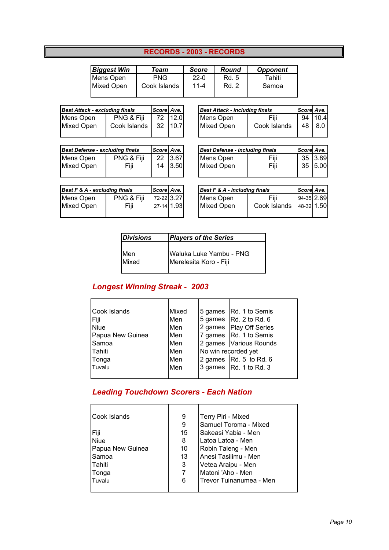### **RECORDS - 2003 - RECORDS**

| <b>Biggest Win</b> | Team         | <b>Score</b>       | Round          | <b>Opponent</b> |
|--------------------|--------------|--------------------|----------------|-----------------|
| Mens Open          | <b>PNG</b>   | $22-0$<br>$11 - 4$ | Rd. 5<br>Rd. 2 | Tahiti<br>Samoa |
| <b>Mixed Open</b>  | Cook Islands |                    |                |                 |

| Best Attack - excluding finals | Score Ave.   |  |         |
|--------------------------------|--------------|--|---------|
| Mens Open                      | PNG & Fiji   |  | 72 12.0 |
| <b>Mixed Open</b>              | Cook Islands |  | 32 10.7 |

| <b>Best Defense - excluding finals</b> | Score Ave. |  |         |
|----------------------------------------|------------|--|---------|
| Mens Open                              | PNG & Fiji |  | 22 3.67 |
| <b>Mixed Open</b>                      | Fiji       |  | 14 3.50 |

| Best F & A - excluding finals |  |                                        |  |  |  |
|-------------------------------|--|----------------------------------------|--|--|--|
| PNG & Fiji                    |  |                                        |  |  |  |
| Fiji                          |  |                                        |  |  |  |
|                               |  | Score Ave.<br>72-22 3.27<br>27-14 1.93 |  |  |  |

| <b>Best Attack - excluding finals</b> |              | Score Ave.      |          | Best Attack - including finals | Score Ave.   |    |      |
|---------------------------------------|--------------|-----------------|----------|--------------------------------|--------------|----|------|
| Mens Open                             | PNG & Fiji   |                 | 72 112.0 | Mens Open                      | Fiii         | 94 | 10.4 |
| Mixed Open                            | Cook Islands | 32 <sub>1</sub> | 10.7     | Mixed Open                     | Cook Islands | 48 | 8.0  |
|                                       |              |                 |          |                                |              |    |      |

| Best Defense - excluding finals |            | Score Ave. |       |
|---------------------------------|------------|------------|-------|
| Mens Open                       | PNG & Fiji | 22         | 13.67 |
| Mixed Open                      | Fiji       | 14         | 3.50  |
|                                 |            |            |       |

| Best F & A - excluding finals |            | Score Ave. |            | Best F & A - including finals |              | Score Ave. |  |
|-------------------------------|------------|------------|------------|-------------------------------|--------------|------------|--|
| Mens Open                     | PNG & Fiji |            | 72-22 3.27 | <b>IMens Open</b>             | Fiii         | 94-35 2.69 |  |
| Mixed Open                    | Fiii       |            | 27-14 1.93 | <b>IMixed Open</b>            | Cook Islands | 48-32 1.50 |  |
|                               |            |            |            |                               |              |            |  |

| <i><b>Divisions</b></i> | <b>Players of the Series</b>                      |  |  |  |
|-------------------------|---------------------------------------------------|--|--|--|
| Men<br>Mixed            | Waluka Luke Yambu - PNG<br>Merelesita Koro - Fiji |  |  |  |

## *Longest Winning Streak - 2003*

| Cook Islands     | Mixed | 5 games   Rd. 1 to Semis         |
|------------------|-------|----------------------------------|
| Fiji             | Men   | 5 games $\vert$ Rd. 2 to Rd. 6   |
| <b>Niue</b>      | Men   | 2 games   Play Off Series        |
| Papua New Guinea | Men   | 7 games Rd. 1 to Semis           |
| Samoa            | Men   | 2 games   Various Rounds         |
| Tahiti           | Men   | No win recorded yet              |
| Tonga            | Men   | 2 games $\sqrt{Rd}$ . 5 to Rd. 6 |
| Tuvalu           | Men   | 3 games $\vert$ Rd. 1 to Rd. 3   |
|                  |       |                                  |

### *Leading Touchdown Scorers - Each Nation*

| Cook Islands     | 9  | Terry Piri - Mixed      |
|------------------|----|-------------------------|
|                  | 9  | Samuel Toroma - Mixed   |
| Fiji             | 15 | Sakeasi Yabia - Men     |
| <b>Niue</b>      | 8  | l Latoa Latoa - Men     |
| Papua New Guinea | 10 | Robin Taleng - Men      |
| Samoa            | 13 | Anesi Tasilimu - Men    |
| lTahiti          | 3  | Vetea Araipu - Men      |
| Tonga            | 7  | Matoni 'Aho - Men       |
| Tuvalu           | 6  | Trevor Tuinanumea - Men |
|                  |    |                         |